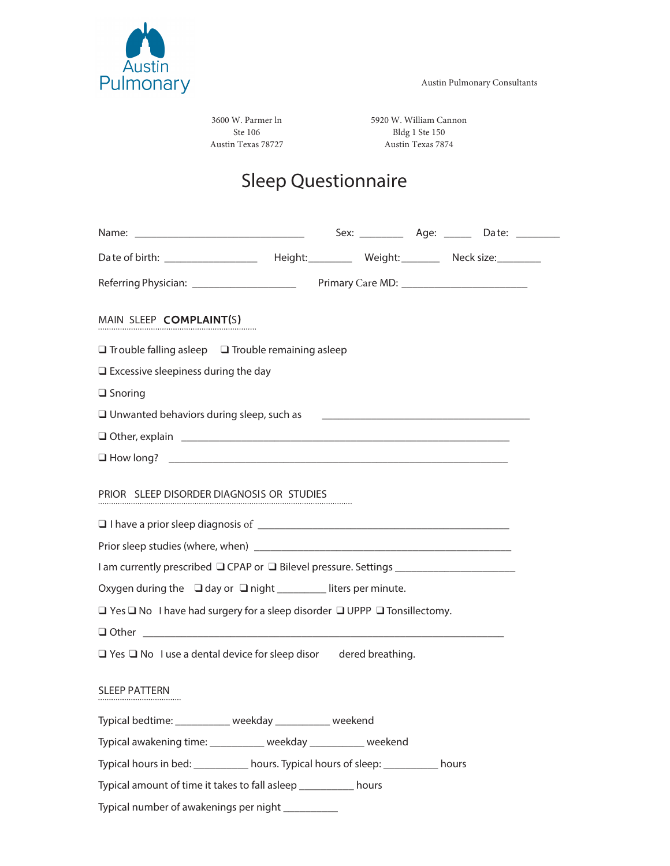



3600 W. Parmer ln Ste 106 Austin Texas 78727

5920 W. William Cannon Bldg 1 Ste 150 Austin Texas 7874

# Sleep Questionnaire

|                                                                                                               |  |                                                                                                                       |  | Sex: _______________ Age: _________ Date: ___________ |  |  |
|---------------------------------------------------------------------------------------------------------------|--|-----------------------------------------------------------------------------------------------------------------------|--|-------------------------------------------------------|--|--|
|                                                                                                               |  |                                                                                                                       |  |                                                       |  |  |
|                                                                                                               |  |                                                                                                                       |  |                                                       |  |  |
| MAIN SLEEP COMPLAINT(S)                                                                                       |  |                                                                                                                       |  |                                                       |  |  |
| $\Box$ Trouble falling asleep $\Box$ Trouble remaining asleep                                                 |  |                                                                                                                       |  |                                                       |  |  |
| $\square$ Excessive sleepiness during the day                                                                 |  |                                                                                                                       |  |                                                       |  |  |
| $\Box$ Snoring                                                                                                |  |                                                                                                                       |  |                                                       |  |  |
| $\Box$ Unwanted behaviors during sleep, such as                                                               |  | <u> 1980 - Johann Harry Harry Harry Harry Harry Harry Harry Harry Harry Harry Harry Harry Harry Harry Harry Harry</u> |  |                                                       |  |  |
| 0 Other, explain 2008 2009 2010 2021 2022 2023 2024 2022 2023 2024 2022 2023 2024 2022 2023 2024 2022 2023 20 |  |                                                                                                                       |  |                                                       |  |  |
|                                                                                                               |  |                                                                                                                       |  |                                                       |  |  |
| PRIOR SLEEP DISORDER DIAGNOSIS OR STUDIES                                                                     |  |                                                                                                                       |  |                                                       |  |  |
|                                                                                                               |  |                                                                                                                       |  |                                                       |  |  |
| I am currently prescribed □ CPAP or □ Bilevel pressure. Settings ______________________                       |  |                                                                                                                       |  |                                                       |  |  |
| Oxygen during the □ day or □ night ________ liters per minute.                                                |  |                                                                                                                       |  |                                                       |  |  |
| $\Box$ Yes $\Box$ No I have had surgery for a sleep disorder $\Box$ UPPP $\Box$ Tonsillectomy.                |  |                                                                                                                       |  |                                                       |  |  |
|                                                                                                               |  |                                                                                                                       |  |                                                       |  |  |
| $\Box$ Yes $\Box$ No I use a dental device for sleep disor dered breathing.                                   |  |                                                                                                                       |  |                                                       |  |  |
| <b>SLEEP PATTERN</b>                                                                                          |  |                                                                                                                       |  |                                                       |  |  |
| Typical bedtime: ___________ weekday __________ weekend                                                       |  |                                                                                                                       |  |                                                       |  |  |
| Typical awakening time: __________ weekday _________ weekend                                                  |  |                                                                                                                       |  |                                                       |  |  |
| Typical hours in bed: __________ hours. Typical hours of sleep: __________ hours                              |  |                                                                                                                       |  |                                                       |  |  |
| Typical amount of time it takes to fall asleep ___________ hours                                              |  |                                                                                                                       |  |                                                       |  |  |
| Typical number of awakenings per night _________                                                              |  |                                                                                                                       |  |                                                       |  |  |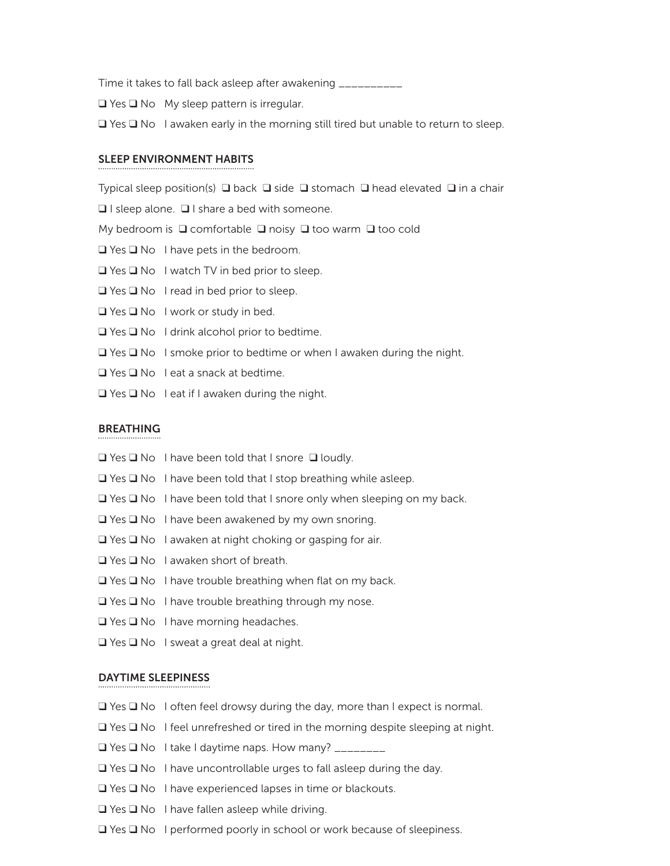Time it takes to fall back asleep after awakening \_\_\_\_\_\_\_\_\_\_

❑ Yes ❑ No My sleep pattern is irregular.

 $\Box$  Yes  $\Box$  No I awaken early in the morning still tired but unable to return to sleep.

#### SLEEP ENVIRONMENT HABITS

Typical sleep position(s) ❑ back ❑ side ❑ stomach ❑ head elevated ❑ in a chair

❑ I sleep alone. ❑ I share a bed with someone.

My bedroom is ❑ comfortable ❑ noisy ❑ too warm ❑ too cold

- ❑ Yes ❑ No I have pets in the bedroom.
- ❑ Yes ❑ No I watch TV in bed prior to sleep.
- ❑ Yes ❑ No I read in bed prior to sleep.
- ❑ Yes ❑ No I work or study in bed.
- ❑ Yes ❑ No I drink alcohol prior to bedtime.
- ❑ Yes ❑ No I smoke prior to bedtime or when I awaken during the night.
- ❑ Yes ❑ No I eat a snack at bedtime.
- ❑ Yes ❑ No I eat if I awaken during the night.

#### BREATHING

- ❑ Yes ❑ No I have been told that I snore ❑ loudly.
- $\Box$  Yes  $\Box$  No I have been told that I stop breathing while asleep.
- ❑ Yes ❑ No I have been told that I snore only when sleeping on my back.
- ❑ Yes ❑ No I have been awakened by my own snoring.
- ❑ Yes ❑ No I awaken at night choking or gasping for air.
- ❑ Yes ❑ No I awaken short of breath.
- ❑ Yes ❑ No I have trouble breathing when flat on my back.
- ❑ Yes ❑ No I have trouble breathing through my nose.
- ❑ Yes ❑ No I have morning headaches.
- ❑ Yes ❑ No I sweat a great deal at night.

#### DAYTIME SLEEPINESS

- ❑ Yes ❑ No I often feel drowsy during the day, more than I expect is normal.
- ❑ Yes ❑ No I feel unrefreshed or tired in the morning despite sleeping at night.
- $\Box$  Yes  $\Box$  No I take I daytime naps. How many?  $\Box$
- ❑ Yes ❑ No I have uncontrollable urges to fall asleep during the day.
- ❑ Yes ❑ No I have experienced lapses in time or blackouts.
- ❑ Yes ❑ No I have fallen asleep while driving.
- ❑ Yes ❑ No I performed poorly in school or work because of sleepiness.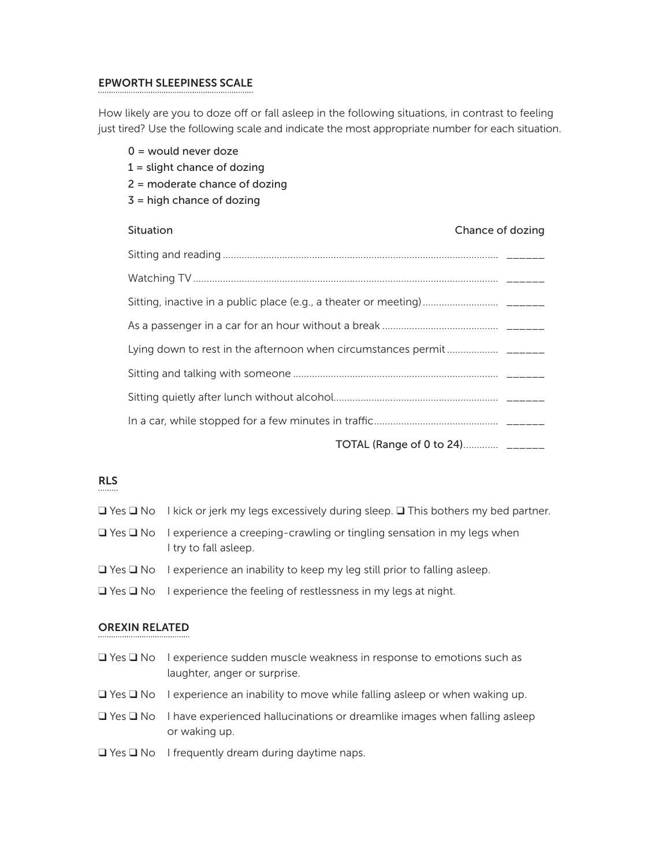## EPWORTH SLEEPINESS SCALE

How likely are you to doze off or fall asleep in the following situations, in contrast to feeling just tired? Use the following scale and indicate the most appropriate number for each situation.

|  | $0 =$ would never doze<br>$1 =$ slight chance of dozing        |  |  |  |
|--|----------------------------------------------------------------|--|--|--|
|  | $2$ = moderate chance of dozing<br>$3$ = high chance of dozing |  |  |  |
|  | Situation<br>Chance of dozing                                  |  |  |  |
|  |                                                                |  |  |  |
|  |                                                                |  |  |  |
|  |                                                                |  |  |  |
|  |                                                                |  |  |  |
|  |                                                                |  |  |  |
|  |                                                                |  |  |  |
|  |                                                                |  |  |  |
|  |                                                                |  |  |  |
|  | TOTAL (Range of 0 to 24) ______                                |  |  |  |

## RLS

- ❑ Yes ❑ No I kick or jerk my legs excessively during sleep. ❑ This bothers my bed partner.
- ❑ Yes ❑ No I experience a creeping-crawling or tingling sensation in my legs when I try to fall asleep.
- ❑ Yes ❑ No I experience an inability to keep my leg still prior to falling asleep.
- ❑ Yes ❑ No I experience the feeling of restlessness in my legs at night.

#### OREXIN RELATED

- ❑ Yes ❑ No I experience sudden muscle weakness in response to emotions such as laughter, anger or surprise.
- ❑ Yes ❑ No I experience an inability to move while falling asleep or when waking up.
- ❑ Yes ❑ No I have experienced hallucinations or dreamlike images when falling asleep or waking up.
- ❑ Yes ❑ No I frequently dream during daytime naps.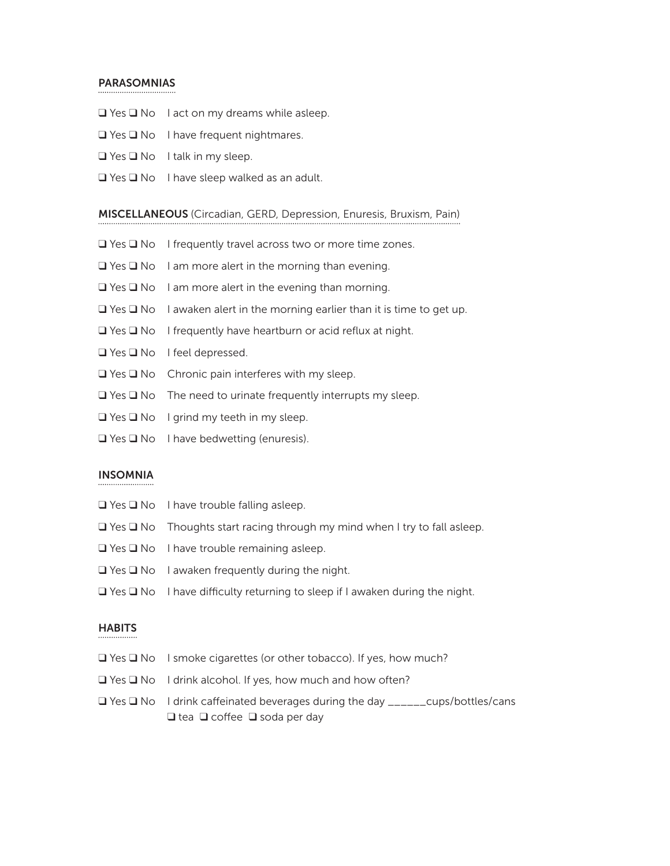#### PARASOMNIAS

- ❑ Yes ❑ No I act on my dreams while asleep.
- ❑ Yes ❑ No I have frequent nightmares.
- ❑ Yes ❑ No I talk in my sleep.
- $\Box$  Yes  $\Box$  No I have sleep walked as an adult.

#### MISCELLANEOUS (Circadian, GERD, Depression, Enuresis, Bruxism, Pain)

- ❑ Yes ❑ No I frequently travel across two or more time zones.
- ❑ Yes ❑ No I am more alert in the morning than evening.
- ❑ Yes ❑ No I am more alert in the evening than morning.
- $\Box$  Yes  $\Box$  No I awaken alert in the morning earlier than it is time to get up.
- ❑ Yes ❑ No I frequently have heartburn or acid reflux at night.
- ❑ Yes ❑ No I feel depressed.
- ❑ Yes ❑ No Chronic pain interferes with my sleep.
- ❑ Yes ❑ No The need to urinate frequently interrupts my sleep.
- ❑ Yes ❑ No I grind my teeth in my sleep.
- ❑ Yes ❑ No I have bedwetting (enuresis).

## INSOMNIA

- ❑ Yes ❑ No I have trouble falling asleep.
- ❑ Yes ❑ No Thoughts start racing through my mind when I try to fall asleep.
- ❑ Yes ❑ No I have trouble remaining asleep.
- ❑ Yes ❑ No I awaken frequently during the night.
- $\Box$  Yes  $\Box$  No I have difficulty returning to sleep if I awaken during the night.

#### **HABITS**

- ❑ Yes ❑ No I smoke cigarettes (or other tobacco). If yes, how much?
- ❑ Yes ❑ No I drink alcohol. If yes, how much and how often?
- ❑ Yes ❑ No I drink cafeinated beverages during the day \_\_\_\_\_\_cups/bottles/cans ❑ tea ❑ cofee ❑ soda per day